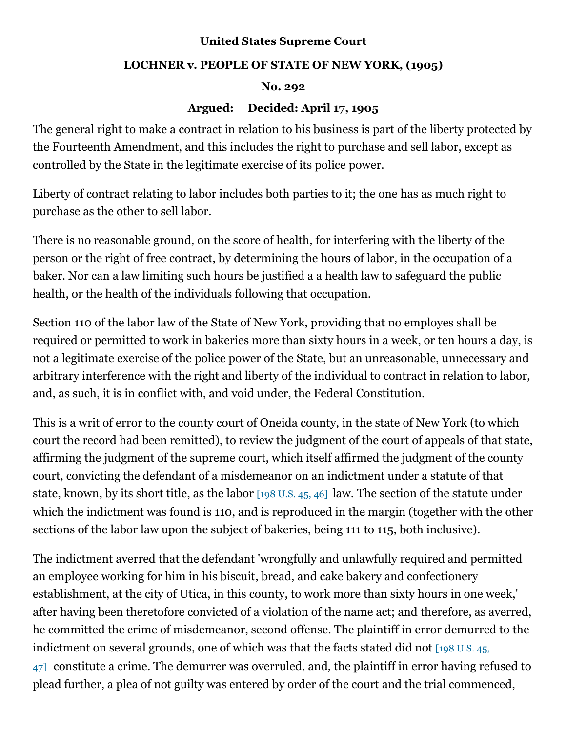## United States Supreme Court

## LOCHNER v. PEOPLE OF STATE OF NEW YORK, (1905)

### No. 292

## Argued: Decided: April 17, 1905

The general right to make a contract in relation to his business is part of the liberty protected by the Fourteenth Amendment, and this includes the right to purchase and sell labor, except as controlled by the State in the legitimate exercise of its police power.

Liberty of contract relating to labor includes both parties to it; the one has as much right to purchase as the other to sell labor.

There is no reasonable ground, on the score of health, for interfering with the liberty of the person or the right of free contract, by determining the hours of labor, in the occupation of a baker. Nor can a law limiting such hours be justified a a health law to safeguard the public health, or the health of the individuals following that occupation.

Section 110 of the labor law of the State of New York, providing that no employes shall be required or permitted to work in bakeries more than sixty hours in a week, or ten hours a day, is not a legitimate exercise of the police power of the State, but an unreasonable, unnecessary and arbitrary interference with the right and liberty of the individual to contract in relation to labor, and, as such, it is in conflict with, and void under, the Federal Constitution.

This is a writ of error to the county court of Oneida county, in the state of New York (to which court the record had been remitted), to review the judgment of the court of appeals of that state, affirming the judgment of the supreme court, which itself affirmed the judgment of the county court, convicting the defendant of a misdemeanor on an indictment under a statute of that state, known, by its short title, as the labor [198 U.S. 45, 46] law. The section of the statute under which the indictment was found is 110, and is reproduced in the margin (together with the other sections of the labor law upon the subject of bakeries, being 111 to 115, both inclusive).

The indictment averred that the defendant 'wrongfully and unlawfully required and permitted an employee working for him in his biscuit, bread, and cake bakery and confectionery establishment, at the city of Utica, in this county, to work more than sixty hours in one week,' after having been theretofore convicted of a violation of the name act; and therefore, as averred, he committed the crime of misdemeanor, second offense. The plaintiff in error demurred to the indictment on several grounds, one of which was that the facts stated did not [198 U.S. 45, 47] constitute a crime. The demurrer was overruled, and, the plaintiff in error having refused to plead further, a plea of not guilty was entered by order of the court and the trial commenced,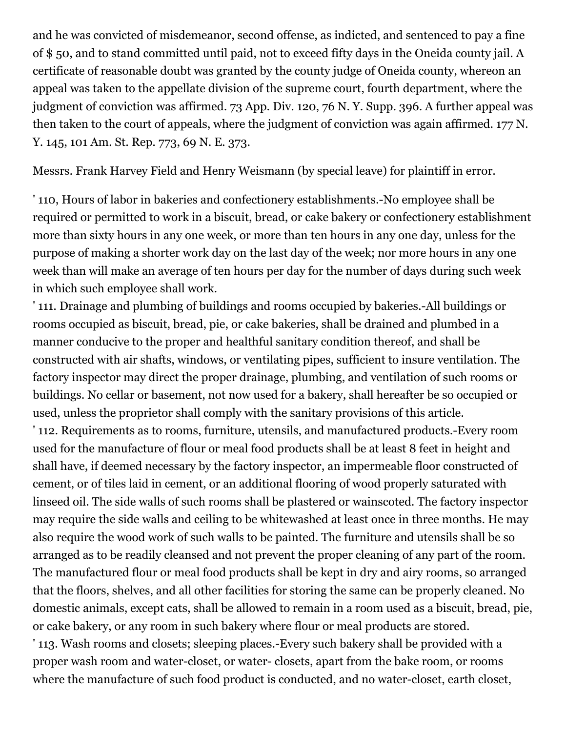and he was convicted of misdemeanor, second offense, as indicted, and sentenced to pay a fine of \$ 50, and to stand committed until paid, not to exceed fifty days in the Oneida county jail. A certificate of reasonable doubt was granted by the county judge of Oneida county, whereon an appeal was taken to the appellate division of the supreme court, fourth department, where the judgment of conviction was affirmed. 73 App. Div. 120, 76 N. Y. Supp. 396. A further appeal was then taken to the court of appeals, where the judgment of conviction was again affirmed. 177 N. Y. 145, 101 Am. St. Rep. 773, 69 N. E. 373.

Messrs. Frank Harvey Field and Henry Weismann (by special leave) for plaintiff in error.

' 110, Hours of labor in bakeries and confectionery establishments.-No employee shall be required or permitted to work in a biscuit, bread, or cake bakery or confectionery establishment more than sixty hours in any one week, or more than ten hours in any one day, unless for the purpose of making a shorter work day on the last day of the week; nor more hours in any one week than will make an average of ten hours per day for the number of days during such week in which such employee shall work.

' 111. Drainage and plumbing of buildings and rooms occupied by bakeries.-All buildings or rooms occupied as biscuit, bread, pie, or cake bakeries, shall be drained and plumbed in a manner conducive to the proper and healthful sanitary condition thereof, and shall be constructed with air shafts, windows, or ventilating pipes, sufficient to insure ventilation. The factory inspector may direct the proper drainage, plumbing, and ventilation of such rooms or buildings. No cellar or basement, not now used for a bakery, shall hereafter be so occupied or used, unless the proprietor shall comply with the sanitary provisions of this article.

' 112. Requirements as to rooms, furniture, utensils, and manufactured products.-Every room used for the manufacture of flour or meal food products shall be at least 8 feet in height and shall have, if deemed necessary by the factory inspector, an impermeable floor constructed of cement, or of tiles laid in cement, or an additional flooring of wood properly saturated with linseed oil. The side walls of such rooms shall be plastered or wainscoted. The factory inspector may require the side walls and ceiling to be whitewashed at least once in three months. He may also require the wood work of such walls to be painted. The furniture and utensils shall be so arranged as to be readily cleansed and not prevent the proper cleaning of any part of the room. The manufactured flour or meal food products shall be kept in dry and airy rooms, so arranged that the floors, shelves, and all other facilities for storing the same can be properly cleaned. No domestic animals, except cats, shall be allowed to remain in a room used as a biscuit, bread, pie, or cake bakery, or any room in such bakery where flour or meal products are stored. ' 113. Wash rooms and closets; sleeping places.-Every such bakery shall be provided with a proper wash room and water-closet, or water- closets, apart from the bake room, or rooms

where the manufacture of such food product is conducted, and no water-closet, earth closet,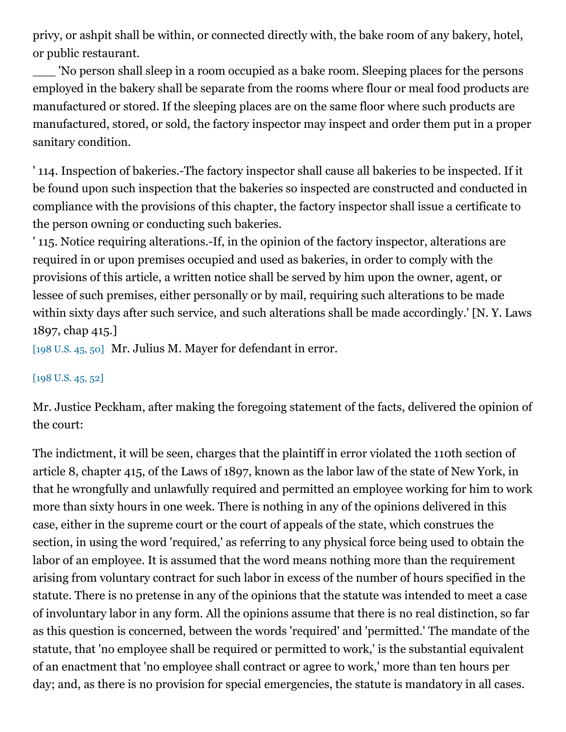privy, or ashpit shall be within, or connected directly with, the bake room of any bakery, hotel, or public restaurant.

\_\_\_ 'No person shall sleep in a room occupied as a bake room. Sleeping places for the persons employed in the bakery shall be separate from the rooms where flour or meal food products are manufactured or stored. If the sleeping places are on the same floor where such products are manufactured, stored, or sold, the factory inspector may inspect and order them put in a proper sanitary condition.

' 114. Inspection of bakeries.-The factory inspector shall cause all bakeries to be inspected. If it be found upon such inspection that the bakeries so inspected are constructed and conducted in compliance with the provisions of this chapter, the factory inspector shall issue a certificate to the person owning or conducting such bakeries.

' 115. Notice requiring alterations.-If, in the opinion of the factory inspector, alterations are required in or upon premises occupied and used as bakeries, in order to comply with the provisions of this article, a written notice shall be served by him upon the owner, agent, or lessee of such premises, either personally or by mail, requiring such alterations to be made within sixty days after such service, and such alterations shall be made accordingly.' [N. Y. Laws 1897, chap 415.]

[198 U.S. 45, 50] Mr. Julius M. Mayer for defendant in error.

#### [198 U.S. 45, 52]

Mr. Justice Peckham, after making the foregoing statement of the facts, delivered the opinion of the court:

The indictment, it will be seen, charges that the plaintiff in error violated the 110th section of article 8, chapter 415, of the Laws of 1897, known as the labor law of the state of New York, in that he wrongfully and unlawfully required and permitted an employee working for him to work more than sixty hours in one week. There is nothing in any of the opinions delivered in this case, either in the supreme court or the court of appeals of the state, which construes the section, in using the word 'required,' as referring to any physical force being used to obtain the labor of an employee. It is assumed that the word means nothing more than the requirement arising from voluntary contract for such labor in excess of the number of hours specified in the statute. There is no pretense in any of the opinions that the statute was intended to meet a case of involuntary labor in any form. All the opinions assume that there is no real distinction, so far as this question is concerned, between the words 'required' and 'permitted.' The mandate of the statute, that 'no employee shall be required or permitted to work,' is the substantial equivalent of an enactment that 'no employee shall contract or agree to work,' more than ten hours per day; and, as there is no provision for special emergencies, the statute is mandatory in all cases.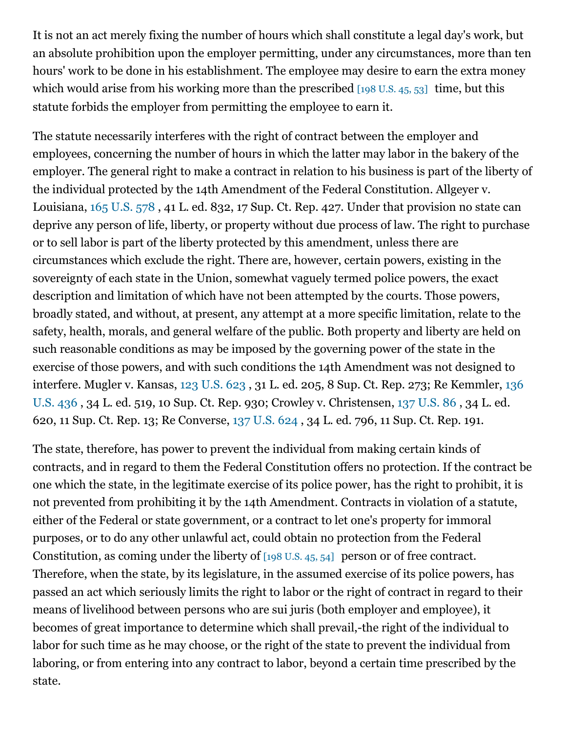It is not an act merely fixing the number of hours which shall constitute a legal day's work, but an absolute prohibition upon the employer permitting, under any circumstances, more than ten hours' work to be done in his establishment. The employee may desire to earn the extra money which would arise from his working more than the prescribed  $[198 \text{ U.S. } 45, 53]$  time, but this statute forbids the employer from permitting the employee to earn it.

The statute necessarily interferes with the right of contract between the employer and employees, concerning the number of hours in which the latter may labor in the bakery of the employer. The general right to make a contract in relation to his business is part of the liberty of the individual protected by the 14th Amendment of the Federal Constitution. Allgeyer v. Louisiana, 165 U.S. 578 , 41 L. ed. 832, 17 Sup. Ct. Rep. 427. Under that provision no state can deprive any person of life, liberty, or property without due process of law. The right to purchase or to sell labor is part of the liberty protected by this amendment, unless there are circumstances which exclude the right. There are, however, certain powers, existing in the sovereignty of each state in the Union, somewhat vaguely termed police powers, the exact description and limitation of which have not been attempted by the courts. Those powers, broadly stated, and without, at present, any attempt at a more specific limitation, relate to the safety, health, morals, and general welfare of the public. Both property and liberty are held on such reasonable conditions as may be imposed by the governing power of the state in the exercise of those powers, and with such conditions the 14th Amendment was not designed to interfere. Mugler v. Kansas, 123 U.S. 623 , 31 L. ed. 205, 8 Sup. Ct. Rep. 273; Re Kemmler, 136 U.S. 436 , 34 L. ed. 519, 10 Sup. Ct. Rep. 930; Crowley v. Christensen, 137 U.S. 86 , 34 L. ed. 620, 11 Sup. Ct. Rep. 13; Re Converse, 137 U.S. 624 , 34 L. ed. 796, 11 Sup. Ct. Rep. 191.

The state, therefore, has power to prevent the individual from making certain kinds of contracts, and in regard to them the Federal Constitution offers no protection. If the contract be one which the state, in the legitimate exercise of its police power, has the right to prohibit, it is not prevented from prohibiting it by the 14th Amendment. Contracts in violation of a statute, either of the Federal or state government, or a contract to let one's property for immoral purposes, or to do any other unlawful act, could obtain no protection from the Federal Constitution, as coming under the liberty of [198 U.S. 45, 54] person or of free contract. Therefore, when the state, by its legislature, in the assumed exercise of its police powers, has passed an act which seriously limits the right to labor or the right of contract in regard to their means of livelihood between persons who are sui juris (both employer and employee), it becomes of great importance to determine which shall prevail,-the right of the individual to labor for such time as he may choose, or the right of the state to prevent the individual from laboring, or from entering into any contract to labor, beyond a certain time prescribed by the state.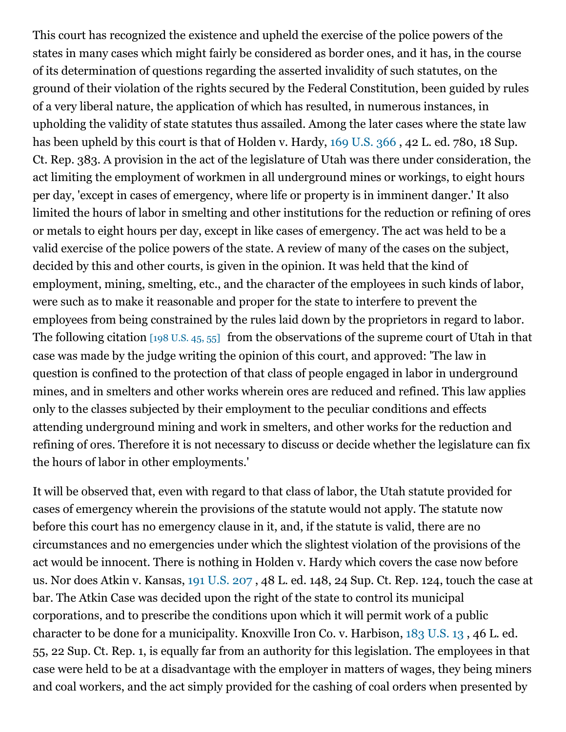This court has recognized the existence and upheld the exercise of the police powers of the states in many cases which might fairly be considered as border ones, and it has, in the course of its determination of questions regarding the asserted invalidity of such statutes, on the ground of their violation of the rights secured by the Federal Constitution, been guided by rules of a very liberal nature, the application of which has resulted, in numerous instances, in upholding the validity of state statutes thus assailed. Among the later cases where the state law has been upheld by this court is that of Holden v. Hardy, 169 U.S. 366 , 42 L. ed. 780, 18 Sup. Ct. Rep. 383. A provision in the act of the legislature of Utah was there under consideration, the act limiting the employment of workmen in all underground mines or workings, to eight hours per day, 'except in cases of emergency, where life or property is in imminent danger.' It also limited the hours of labor in smelting and other institutions for the reduction or refining of ores or metals to eight hours per day, except in like cases of emergency. The act was held to be a valid exercise of the police powers of the state. A review of many of the cases on the subject, decided by this and other courts, is given in the opinion. It was held that the kind of employment, mining, smelting, etc., and the character of the employees in such kinds of labor, were such as to make it reasonable and proper for the state to interfere to prevent the employees from being constrained by the rules laid down by the proprietors in regard to labor. The following citation [198 U.S. 45, 55] from the observations of the supreme court of Utah in that case was made by the judge writing the opinion of this court, and approved: 'The law in question is confined to the protection of that class of people engaged in labor in underground mines, and in smelters and other works wherein ores are reduced and refined. This law applies only to the classes subjected by their employment to the peculiar conditions and effects attending underground mining and work in smelters, and other works for the reduction and refining of ores. Therefore it is not necessary to discuss or decide whether the legislature can fix the hours of labor in other employments.'

It will be observed that, even with regard to that class of labor, the Utah statute provided for cases of emergency wherein the provisions of the statute would not apply. The statute now before this court has no emergency clause in it, and, if the statute is valid, there are no circumstances and no emergencies under which the slightest violation of the provisions of the act would be innocent. There is nothing in Holden v. Hardy which covers the case now before us. Nor does Atkin v. Kansas, 191 U.S. 207 , 48 L. ed. 148, 24 Sup. Ct. Rep. 124, touch the case at bar. The Atkin Case was decided upon the right of the state to control its municipal corporations, and to prescribe the conditions upon which it will permit work of a public character to be done for a municipality. Knoxville Iron Co. v. Harbison, 183 U.S. 13 , 46 L. ed. 55, 22 Sup. Ct. Rep. 1, is equally far from an authority for this legislation. The employees in that case were held to be at a disadvantage with the employer in matters of wages, they being miners and coal workers, and the act simply provided for the cashing of coal orders when presented by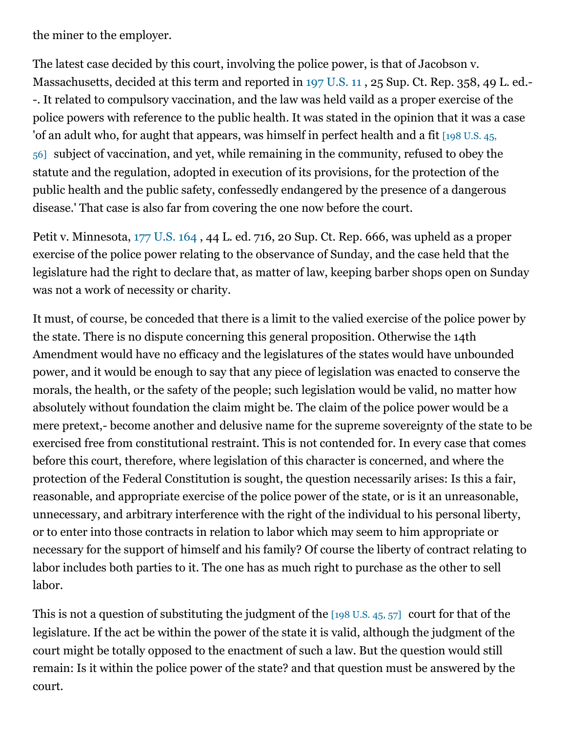the miner to the employer.

The latest case decided by this court, involving the police power, is that of Jacobson v. Massachusetts, decided at this term and reported in 197 U.S. 11 , 25 Sup. Ct. Rep. 358, 49 L. ed.- -. It related to compulsory vaccination, and the law was held vaild as a proper exercise of the police powers with reference to the public health. It was stated in the opinion that it was a case 'of an adult who, for aught that appears, was himself in perfect health and a fit [198 U.S. 45, 56] subject of vaccination, and yet, while remaining in the community, refused to obey the statute and the regulation, adopted in execution of its provisions, for the protection of the public health and the public safety, confessedly endangered by the presence of a dangerous disease.' That case is also far from covering the one now before the court.

Petit v. Minnesota, 177 U.S. 164 , 44 L. ed. 716, 20 Sup. Ct. Rep. 666, was upheld as a proper exercise of the police power relating to the observance of Sunday, and the case held that the legislature had the right to declare that, as matter of law, keeping barber shops open on Sunday was not a work of necessity or charity.

It must, of course, be conceded that there is a limit to the valied exercise of the police power by the state. There is no dispute concerning this general proposition. Otherwise the 14th Amendment would have no efficacy and the legislatures of the states would have unbounded power, and it would be enough to say that any piece of legislation was enacted to conserve the morals, the health, or the safety of the people; such legislation would be valid, no matter how absolutely without foundation the claim might be. The claim of the police power would be a mere pretext,- become another and delusive name for the supreme sovereignty of the state to be exercised free from constitutional restraint. This is not contended for. In every case that comes before this court, therefore, where legislation of this character is concerned, and where the protection of the Federal Constitution is sought, the question necessarily arises: Is this a fair, reasonable, and appropriate exercise of the police power of the state, or is it an unreasonable, unnecessary, and arbitrary interference with the right of the individual to his personal liberty, or to enter into those contracts in relation to labor which may seem to him appropriate or necessary for the support of himself and his family? Of course the liberty of contract relating to labor includes both parties to it. The one has as much right to purchase as the other to sell labor.

This is not a question of substituting the judgment of the [198 U.S. 45, 57] court for that of the legislature. If the act be within the power of the state it is valid, although the judgment of the court might be totally opposed to the enactment of such a law. But the question would still remain: Is it within the police power of the state? and that question must be answered by the court.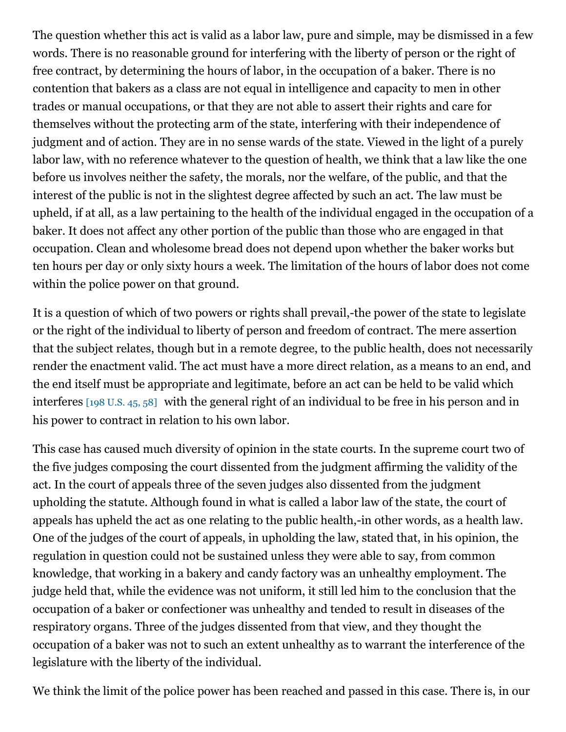The question whether this act is valid as a labor law, pure and simple, may be dismissed in a few words. There is no reasonable ground for interfering with the liberty of person or the right of free contract, by determining the hours of labor, in the occupation of a baker. There is no contention that bakers as a class are not equal in intelligence and capacity to men in other trades or manual occupations, or that they are not able to assert their rights and care for themselves without the protecting arm of the state, interfering with their independence of judgment and of action. They are in no sense wards of the state. Viewed in the light of a purely labor law, with no reference whatever to the question of health, we think that a law like the one before us involves neither the safety, the morals, nor the welfare, of the public, and that the interest of the public is not in the slightest degree affected by such an act. The law must be upheld, if at all, as a law pertaining to the health of the individual engaged in the occupation of a baker. It does not affect any other portion of the public than those who are engaged in that occupation. Clean and wholesome bread does not depend upon whether the baker works but ten hours per day or only sixty hours a week. The limitation of the hours of labor does not come within the police power on that ground.

It is a question of which of two powers or rights shall prevail,-the power of the state to legislate or the right of the individual to liberty of person and freedom of contract. The mere assertion that the subject relates, though but in a remote degree, to the public health, does not necessarily render the enactment valid. The act must have a more direct relation, as a means to an end, and the end itself must be appropriate and legitimate, before an act can be held to be valid which interferes [198 U.S. 45, 58] with the general right of an individual to be free in his person and in his power to contract in relation to his own labor.

This case has caused much diversity of opinion in the state courts. In the supreme court two of the five judges composing the court dissented from the judgment affirming the validity of the act. In the court of appeals three of the seven judges also dissented from the judgment upholding the statute. Although found in what is called a labor law of the state, the court of appeals has upheld the act as one relating to the public health,-in other words, as a health law. One of the judges of the court of appeals, in upholding the law, stated that, in his opinion, the regulation in question could not be sustained unless they were able to say, from common knowledge, that working in a bakery and candy factory was an unhealthy employment. The judge held that, while the evidence was not uniform, it still led him to the conclusion that the occupation of a baker or confectioner was unhealthy and tended to result in diseases of the respiratory organs. Three of the judges dissented from that view, and they thought the occupation of a baker was not to such an extent unhealthy as to warrant the interference of the legislature with the liberty of the individual.

We think the limit of the police power has been reached and passed in this case. There is, in our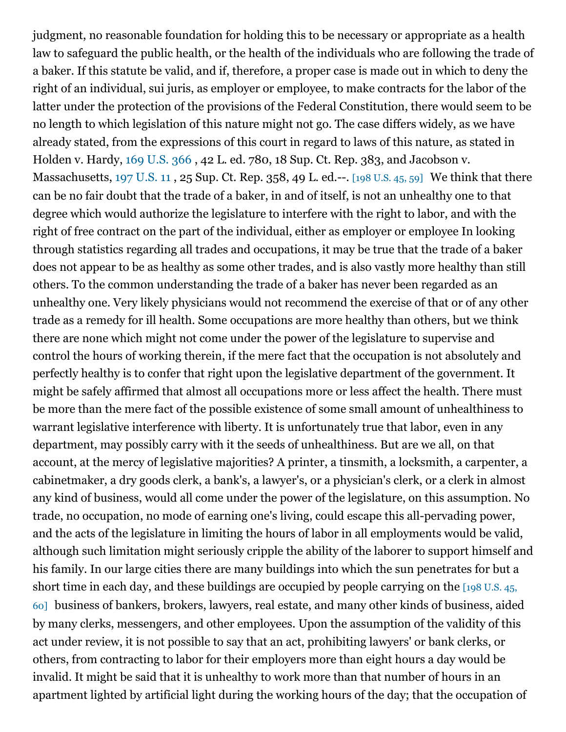judgment, no reasonable foundation for holding this to be necessary or appropriate as a health law to safeguard the public health, or the health of the individuals who are following the trade of a baker. If this statute be valid, and if, therefore, a proper case is made out in which to deny the right of an individual, sui juris, as employer or employee, to make contracts for the labor of the latter under the protection of the provisions of the Federal Constitution, there would seem to be no length to which legislation of this nature might not go. The case differs widely, as we have already stated, from the expressions of this court in regard to laws of this nature, as stated in Holden v. Hardy, 169 U.S. 366 , 42 L. ed. 780, 18 Sup. Ct. Rep. 383, and Jacobson v. Massachusetts, 197 U.S. 11 , 25 Sup. Ct. Rep. 358, 49 L. ed.--. [198 U.S. 45, 59] We think that there can be no fair doubt that the trade of a baker, in and of itself, is not an unhealthy one to that degree which would authorize the legislature to interfere with the right to labor, and with the right of free contract on the part of the individual, either as employer or employee In looking through statistics regarding all trades and occupations, it may be true that the trade of a baker does not appear to be as healthy as some other trades, and is also vastly more healthy than still others. To the common understanding the trade of a baker has never been regarded as an unhealthy one. Very likely physicians would not recommend the exercise of that or of any other trade as a remedy for ill health. Some occupations are more healthy than others, but we think there are none which might not come under the power of the legislature to supervise and control the hours of working therein, if the mere fact that the occupation is not absolutely and perfectly healthy is to confer that right upon the legislative department of the government. It might be safely affirmed that almost all occupations more or less affect the health. There must be more than the mere fact of the possible existence of some small amount of unhealthiness to warrant legislative interference with liberty. It is unfortunately true that labor, even in any department, may possibly carry with it the seeds of unhealthiness. But are we all, on that account, at the mercy of legislative majorities? A printer, a tinsmith, a locksmith, a carpenter, a cabinetmaker, a dry goods clerk, a bank's, a lawyer's, or a physician's clerk, or a clerk in almost any kind of business, would all come under the power of the legislature, on this assumption. No trade, no occupation, no mode of earning one's living, could escape this all-pervading power, and the acts of the legislature in limiting the hours of labor in all employments would be valid, although such limitation might seriously cripple the ability of the laborer to support himself and his family. In our large cities there are many buildings into which the sun penetrates for but a short time in each day, and these buildings are occupied by people carrying on the [198 U.S. 45, 60] business of bankers, brokers, lawyers, real estate, and many other kinds of business, aided by many clerks, messengers, and other employees. Upon the assumption of the validity of this act under review, it is not possible to say that an act, prohibiting lawyers' or bank clerks, or others, from contracting to labor for their employers more than eight hours a day would be invalid. It might be said that it is unhealthy to work more than that number of hours in an apartment lighted by artificial light during the working hours of the day; that the occupation of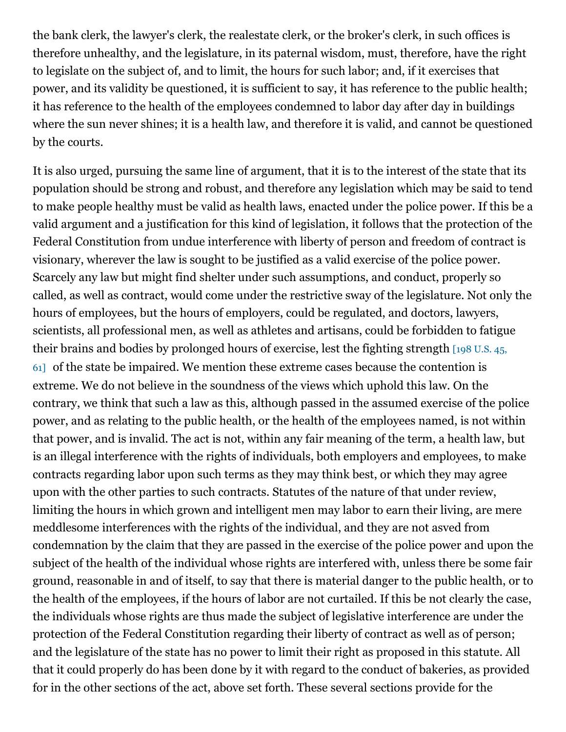the bank clerk, the lawyer's clerk, the realestate clerk, or the broker's clerk, in such offices is therefore unhealthy, and the legislature, in its paternal wisdom, must, therefore, have the right to legislate on the subject of, and to limit, the hours for such labor; and, if it exercises that power, and its validity be questioned, it is sufficient to say, it has reference to the public health; it has reference to the health of the employees condemned to labor day after day in buildings where the sun never shines; it is a health law, and therefore it is valid, and cannot be questioned by the courts.

It is also urged, pursuing the same line of argument, that it is to the interest of the state that its population should be strong and robust, and therefore any legislation which may be said to tend to make people healthy must be valid as health laws, enacted under the police power. If this be a valid argument and a justification for this kind of legislation, it follows that the protection of the Federal Constitution from undue interference with liberty of person and freedom of contract is visionary, wherever the law is sought to be justified as a valid exercise of the police power. Scarcely any law but might find shelter under such assumptions, and conduct, properly so called, as well as contract, would come under the restrictive sway of the legislature. Not only the hours of employees, but the hours of employers, could be regulated, and doctors, lawyers, scientists, all professional men, as well as athletes and artisans, could be forbidden to fatigue their brains and bodies by prolonged hours of exercise, lest the fighting strength [198 U.S. 45, 61] of the state be impaired. We mention these extreme cases because the contention is extreme. We do not believe in the soundness of the views which uphold this law. On the contrary, we think that such a law as this, although passed in the assumed exercise of the police power, and as relating to the public health, or the health of the employees named, is not within that power, and is invalid. The act is not, within any fair meaning of the term, a health law, but is an illegal interference with the rights of individuals, both employers and employees, to make contracts regarding labor upon such terms as they may think best, or which they may agree upon with the other parties to such contracts. Statutes of the nature of that under review, limiting the hours in which grown and intelligent men may labor to earn their living, are mere meddlesome interferences with the rights of the individual, and they are not asved from condemnation by the claim that they are passed in the exercise of the police power and upon the subject of the health of the individual whose rights are interfered with, unless there be some fair ground, reasonable in and of itself, to say that there is material danger to the public health, or to the health of the employees, if the hours of labor are not curtailed. If this be not clearly the case, the individuals whose rights are thus made the subject of legislative interference are under the protection of the Federal Constitution regarding their liberty of contract as well as of person; and the legislature of the state has no power to limit their right as proposed in this statute. All that it could properly do has been done by it with regard to the conduct of bakeries, as provided for in the other sections of the act, above set forth. These several sections provide for the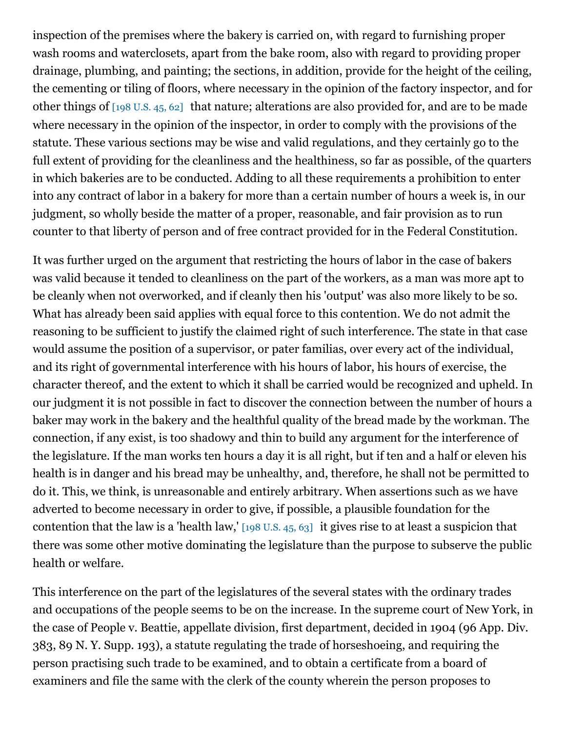inspection of the premises where the bakery is carried on, with regard to furnishing proper wash rooms and waterclosets, apart from the bake room, also with regard to providing proper drainage, plumbing, and painting; the sections, in addition, provide for the height of the ceiling, the cementing or tiling of floors, where necessary in the opinion of the factory inspector, and for other things of [198 U.S. 45, 62] that nature; alterations are also provided for, and are to be made where necessary in the opinion of the inspector, in order to comply with the provisions of the statute. These various sections may be wise and valid regulations, and they certainly go to the full extent of providing for the cleanliness and the healthiness, so far as possible, of the quarters in which bakeries are to be conducted. Adding to all these requirements a prohibition to enter into any contract of labor in a bakery for more than a certain number of hours a week is, in our judgment, so wholly beside the matter of a proper, reasonable, and fair provision as to run counter to that liberty of person and of free contract provided for in the Federal Constitution.

It was further urged on the argument that restricting the hours of labor in the case of bakers was valid because it tended to cleanliness on the part of the workers, as a man was more apt to be cleanly when not overworked, and if cleanly then his 'output' was also more likely to be so. What has already been said applies with equal force to this contention. We do not admit the reasoning to be sufficient to justify the claimed right of such interference. The state in that case would assume the position of a supervisor, or pater familias, over every act of the individual, and its right of governmental interference with his hours of labor, his hours of exercise, the character thereof, and the extent to which it shall be carried would be recognized and upheld. In our judgment it is not possible in fact to discover the connection between the number of hours a baker may work in the bakery and the healthful quality of the bread made by the workman. The connection, if any exist, is too shadowy and thin to build any argument for the interference of the legislature. If the man works ten hours a day it is all right, but if ten and a half or eleven his health is in danger and his bread may be unhealthy, and, therefore, he shall not be permitted to do it. This, we think, is unreasonable and entirely arbitrary. When assertions such as we have adverted to become necessary in order to give, if possible, a plausible foundation for the contention that the law is a 'health law,' [198 U.S. 45, 63] it gives rise to at least a suspicion that there was some other motive dominating the legislature than the purpose to subserve the public health or welfare.

This interference on the part of the legislatures of the several states with the ordinary trades and occupations of the people seems to be on the increase. In the supreme court of New York, in the case of People v. Beattie, appellate division, first department, decided in 1904 (96 App. Div. 383, 89 N. Y. Supp. 193), a statute regulating the trade of horseshoeing, and requiring the person practising such trade to be examined, and to obtain a certificate from a board of examiners and file the same with the clerk of the county wherein the person proposes to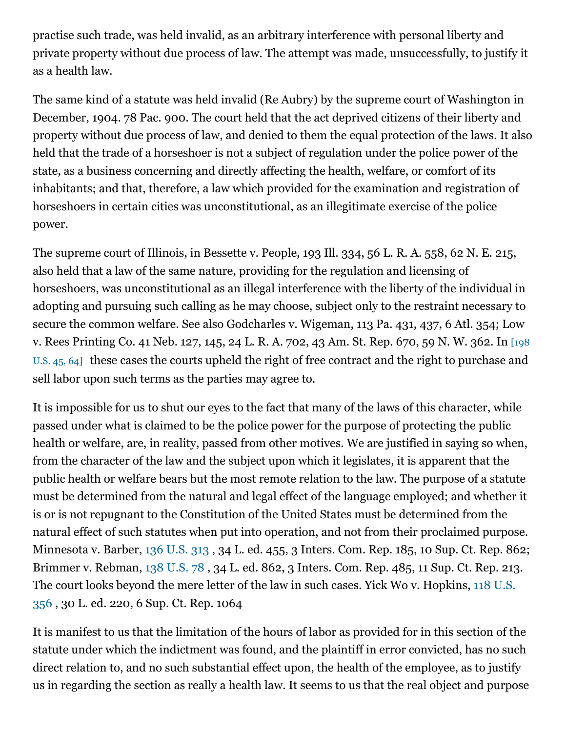practise such trade, was held invalid, as an arbitrary interference with personal liberty and private property without due process of law. The attempt was made, unsuccessfully, to justify it as a health law.

The same kind of a statute was held invalid (Re Aubry) by the supreme court of Washington in December, 1904. 78 Pac. 900. The court held that the act deprived citizens of their liberty and property without due process of law, and denied to them the equal protection of the laws. It also held that the trade of a horseshoer is not a subject of regulation under the police power of the state, as a business concerning and directly affecting the health, welfare, or comfort of its inhabitants; and that, therefore, a law which provided for the examination and registration of horseshoers in certain cities was unconstitutional, as an illegitimate exercise of the police power.

The supreme court of Illinois, in Bessette v. People, 193 Ill. 334, 56 L. R. A. 558, 62 N. E. 215, also held that a law of the same nature, providing for the regulation and licensing of horseshoers, was unconstitutional as an illegal interference with the liberty of the individual in adopting and pursuing such calling as he may choose, subject only to the restraint necessary to secure the common welfare. See also Godcharles v. Wigeman, 113 Pa. 431, 437, 6 Atl. 354; Low v. Rees Printing Co. 41 Neb. 127, 145, 24 L. R. A. 702, 43 Am. St. Rep. 670, 59 N. W. 362. In [198 U.S. 45, 64] these cases the courts upheld the right of free contract and the right to purchase and sell labor upon such terms as the parties may agree to.

It is impossible for us to shut our eyes to the fact that many of the laws of this character, while passed under what is claimed to be the police power for the purpose of protecting the public health or welfare, are, in reality, passed from other motives. We are justified in saying so when, from the character of the law and the subject upon which it legislates, it is apparent that the public health or welfare bears but the most remote relation to the law. The purpose of a statute must be determined from the natural and legal effect of the language employed; and whether it is or is not repugnant to the Constitution of the United States must be determined from the natural effect of such statutes when put into operation, and not from their proclaimed purpose. Minnesota v. Barber, 136 U.S. 313 , 34 L. ed. 455, 3 Inters. Com. Rep. 185, 10 Sup. Ct. Rep. 862; Brimmer v. Rebman, 138 U.S. 78 , 34 L. ed. 862, 3 Inters. Com. Rep. 485, 11 Sup. Ct. Rep. 213. The court looks beyond the mere letter of the law in such cases. Yick Wo v. Hopkins, 118 U.S. 356 , 30 L. ed. 220, 6 Sup. Ct. Rep. 1064

It is manifest to us that the limitation of the hours of labor as provided for in this section of the statute under which the indictment was found, and the plaintiff in error convicted, has no such direct relation to, and no such substantial effect upon, the health of the employee, as to justify us in regarding the section as really a health law. It seems to us that the real object and purpose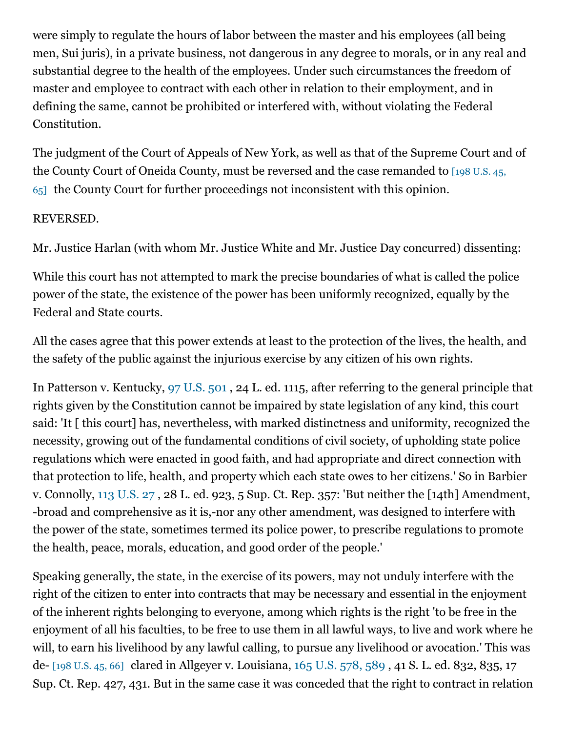were simply to regulate the hours of labor between the master and his employees (all being men, Sui juris), in a private business, not dangerous in any degree to morals, or in any real and substantial degree to the health of the employees. Under such circumstances the freedom of master and employee to contract with each other in relation to their employment, and in defining the same, cannot be prohibited or interfered with, without violating the Federal Constitution.

The judgment of the Court of Appeals of New York, as well as that of the Supreme Court and of the County Court of Oneida County, must be reversed and the case remanded to [198 U.S. 45, 65] the County Court for further proceedings not inconsistent with this opinion.

# REVERSED.

Mr. Justice Harlan (with whom Mr. Justice White and Mr. Justice Day concurred) dissenting:

While this court has not attempted to mark the precise boundaries of what is called the police power of the state, the existence of the power has been uniformly recognized, equally by the Federal and State courts.

All the cases agree that this power extends at least to the protection of the lives, the health, and the safety of the public against the injurious exercise by any citizen of his own rights.

In Patterson v. Kentucky, 97 U.S. 501 , 24 L. ed. 1115, after referring to the general principle that rights given by the Constitution cannot be impaired by state legislation of any kind, this court said: 'It [ this court] has, nevertheless, with marked distinctness and uniformity, recognized the necessity, growing out of the fundamental conditions of civil society, of upholding state police regulations which were enacted in good faith, and had appropriate and direct connection with that protection to life, health, and property which each state owes to her citizens.' So in Barbier v. Connolly, 113 U.S. 27 , 28 L. ed. 923, 5 Sup. Ct. Rep. 357: 'But neither the [14th] Amendment, -broad and comprehensive as it is,-nor any other amendment, was designed to interfere with the power of the state, sometimes termed its police power, to prescribe regulations to promote the health, peace, morals, education, and good order of the people.'

Speaking generally, the state, in the exercise of its powers, may not unduly interfere with the right of the citizen to enter into contracts that may be necessary and essential in the enjoyment of the inherent rights belonging to everyone, among which rights is the right 'to be free in the enjoyment of all his faculties, to be free to use them in all lawful ways, to live and work where he will, to earn his livelihood by any lawful calling, to pursue any livelihood or avocation.' This was de- [198 U.S. 45, 66] clared in Allgeyer v. Louisiana, 165 U.S. 578, 589 , 41 S. L. ed. 832, 835, 17 Sup. Ct. Rep. 427, 431. But in the same case it was conceded that the right to contract in relation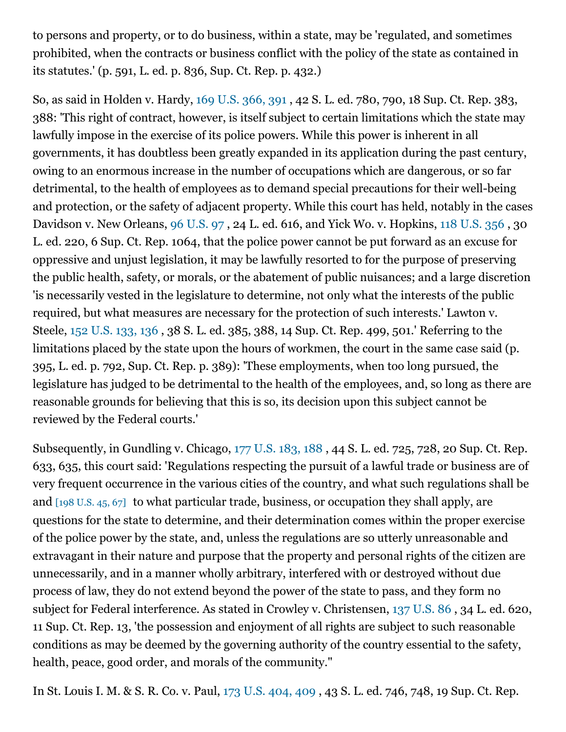to persons and property, or to do business, within a state, may be 'regulated, and sometimes prohibited, when the contracts or business conflict with the policy of the state as contained in its statutes.' (p. 591, L. ed. p. 836, Sup. Ct. Rep. p. 432.)

So, as said in Holden v. Hardy, 169 U.S. 366, 391 , 42 S. L. ed. 780, 790, 18 Sup. Ct. Rep. 383, 388: 'This right of contract, however, is itself subject to certain limitations which the state may lawfully impose in the exercise of its police powers. While this power is inherent in all governments, it has doubtless been greatly expanded in its application during the past century, owing to an enormous increase in the number of occupations which are dangerous, or so far detrimental, to the health of employees as to demand special precautions for their well-being and protection, or the safety of adjacent property. While this court has held, notably in the cases Davidson v. New Orleans, 96 U.S. 97 , 24 L. ed. 616, and Yick Wo. v. Hopkins, 118 U.S. 356 , 30 L. ed. 220, 6 Sup. Ct. Rep. 1064, that the police power cannot be put forward as an excuse for oppressive and unjust legislation, it may be lawfully resorted to for the purpose of preserving the public health, safety, or morals, or the abatement of public nuisances; and a large discretion 'is necessarily vested in the legislature to determine, not only what the interests of the public required, but what measures are necessary for the protection of such interests.' Lawton v. Steele, 152 U.S. 133, 136 , 38 S. L. ed. 385, 388, 14 Sup. Ct. Rep. 499, 501.' Referring to the limitations placed by the state upon the hours of workmen, the court in the same case said (p. 395, L. ed. p. 792, Sup. Ct. Rep. p. 389): 'These employments, when too long pursued, the legislature has judged to be detrimental to the health of the employees, and, so long as there are reasonable grounds for believing that this is so, its decision upon this subject cannot be reviewed by the Federal courts.'

Subsequently, in Gundling v. Chicago, 177 U.S. 183, 188 , 44 S. L. ed. 725, 728, 20 Sup. Ct. Rep. 633, 635, this court said: 'Regulations respecting the pursuit of a lawful trade or business are of very frequent occurrence in the various cities of the country, and what such regulations shall be and [198 U.S. 45, 67] to what particular trade, business, or occupation they shall apply, are questions for the state to determine, and their determination comes within the proper exercise of the police power by the state, and, unless the regulations are so utterly unreasonable and extravagant in their nature and purpose that the property and personal rights of the citizen are unnecessarily, and in a manner wholly arbitrary, interfered with or destroyed without due process of law, they do not extend beyond the power of the state to pass, and they form no subject for Federal interference. As stated in Crowley v. Christensen, 137 U.S. 86 , 34 L. ed. 620, 11 Sup. Ct. Rep. 13, 'the possession and enjoyment of all rights are subject to such reasonable conditions as may be deemed by the governing authority of the country essential to the safety, health, peace, good order, and morals of the community."

In St. Louis I. M. & S. R. Co. v. Paul, 173 U.S. 404, 409 , 43 S. L. ed. 746, 748, 19 Sup. Ct. Rep.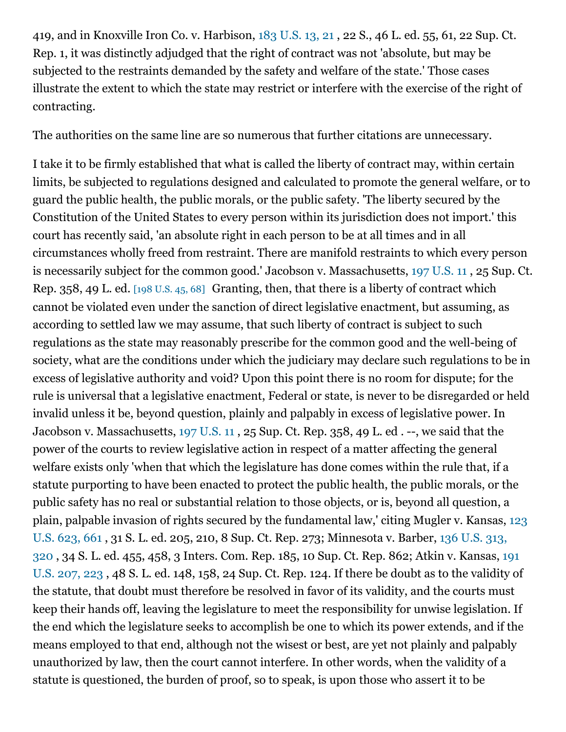419, and in Knoxville Iron Co. v. Harbison, 183 U.S. 13, 21 , 22 S., 46 L. ed. 55, 61, 22 Sup. Ct. Rep. 1, it was distinctly adjudged that the right of contract was not 'absolute, but may be subjected to the restraints demanded by the safety and welfare of the state.' Those cases illustrate the extent to which the state may restrict or interfere with the exercise of the right of contracting.

The authorities on the same line are so numerous that further citations are unnecessary.

I take it to be firmly established that what is called the liberty of contract may, within certain limits, be subjected to regulations designed and calculated to promote the general welfare, or to guard the public health, the public morals, or the public safety. 'The liberty secured by the Constitution of the United States to every person within its jurisdiction does not import.' this court has recently said, 'an absolute right in each person to be at all times and in all circumstances wholly freed from restraint. There are manifold restraints to which every person is necessarily subject for the common good.' Jacobson v. Massachusetts, 197 U.S. 11 , 25 Sup. Ct. Rep. 358, 49 L. ed. [198 U.S. 45, 68] Granting, then, that there is a liberty of contract which cannot be violated even under the sanction of direct legislative enactment, but assuming, as according to settled law we may assume, that such liberty of contract is subject to such regulations as the state may reasonably prescribe for the common good and the well-being of society, what are the conditions under which the judiciary may declare such regulations to be in excess of legislative authority and void? Upon this point there is no room for dispute; for the rule is universal that a legislative enactment, Federal or state, is never to be disregarded or held invalid unless it be, beyond question, plainly and palpably in excess of legislative power. In Jacobson v. Massachusetts, 197 U.S. 11 , 25 Sup. Ct. Rep. 358, 49 L. ed . --, we said that the power of the courts to review legislative action in respect of a matter affecting the general welfare exists only 'when that which the legislature has done comes within the rule that, if a statute purporting to have been enacted to protect the public health, the public morals, or the public safety has no real or substantial relation to those objects, or is, beyond all question, a plain, palpable invasion of rights secured by the fundamental law,' citing Mugler v. Kansas, 123 U.S. 623, 661 , 31 S. L. ed. 205, 210, 8 Sup. Ct. Rep. 273; Minnesota v. Barber, 136 U.S. 313, 320 , 34 S. L. ed. 455, 458, 3 Inters. Com. Rep. 185, 10 Sup. Ct. Rep. 862; Atkin v. Kansas, 191 U.S. 207, 223 , 48 S. L. ed. 148, 158, 24 Sup. Ct. Rep. 124. If there be doubt as to the validity of the statute, that doubt must therefore be resolved in favor of its validity, and the courts must keep their hands off, leaving the legislature to meet the responsibility for unwise legislation. If the end which the legislature seeks to accomplish be one to which its power extends, and if the means employed to that end, although not the wisest or best, are yet not plainly and palpably unauthorized by law, then the court cannot interfere. In other words, when the validity of a statute is questioned, the burden of proof, so to speak, is upon those who assert it to be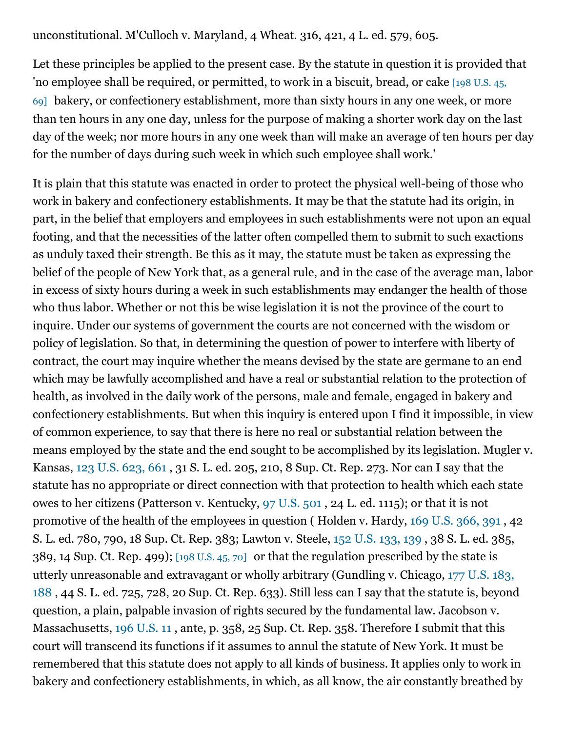unconstitutional. M'Culloch v. Maryland, 4 Wheat. 316, 421, 4 L. ed. 579, 605.

Let these principles be applied to the present case. By the statute in question it is provided that 'no employee shall be required, or permitted, to work in a biscuit, bread, or cake [198 U.S. 45, 69] bakery, or confectionery establishment, more than sixty hours in any one week, or more than ten hours in any one day, unless for the purpose of making a shorter work day on the last day of the week; nor more hours in any one week than will make an average of ten hours per day for the number of days during such week in which such employee shall work.'

It is plain that this statute was enacted in order to protect the physical well-being of those who work in bakery and confectionery establishments. It may be that the statute had its origin, in part, in the belief that employers and employees in such establishments were not upon an equal footing, and that the necessities of the latter often compelled them to submit to such exactions as unduly taxed their strength. Be this as it may, the statute must be taken as expressing the belief of the people of New York that, as a general rule, and in the case of the average man, labor in excess of sixty hours during a week in such establishments may endanger the health of those who thus labor. Whether or not this be wise legislation it is not the province of the court to inquire. Under our systems of government the courts are not concerned with the wisdom or policy of legislation. So that, in determining the question of power to interfere with liberty of contract, the court may inquire whether the means devised by the state are germane to an end which may be lawfully accomplished and have a real or substantial relation to the protection of health, as involved in the daily work of the persons, male and female, engaged in bakery and confectionery establishments. But when this inquiry is entered upon I find it impossible, in view of common experience, to say that there is here no real or substantial relation between the means employed by the state and the end sought to be accomplished by its legislation. Mugler v. Kansas, 123 U.S. 623, 661 , 31 S. L. ed. 205, 210, 8 Sup. Ct. Rep. 273. Nor can I say that the statute has no appropriate or direct connection with that protection to health which each state owes to her citizens (Patterson v. Kentucky, 97 U.S. 501 , 24 L. ed. 1115); or that it is not promotive of the health of the employees in question ( Holden v. Hardy, 169 U.S. 366, 391 , 42 S. L. ed. 780, 790, 18 Sup. Ct. Rep. 383; Lawton v. Steele, 152 U.S. 133, 139 , 38 S. L. ed. 385, 389, 14 Sup. Ct. Rep. 499);  $[198 \text{ U.S. } 45, 70]$  or that the regulation prescribed by the state is utterly unreasonable and extravagant or wholly arbitrary (Gundling v. Chicago, 177 U.S. 183, 188 , 44 S. L. ed. 725, 728, 20 Sup. Ct. Rep. 633). Still less can I say that the statute is, beyond question, a plain, palpable invasion of rights secured by the fundamental law. Jacobson v. Massachusetts, 196 U.S. 11, ante, p. 358, 25 Sup. Ct. Rep. 358. Therefore I submit that this court will transcend its functions if it assumes to annul the statute of New York. It must be remembered that this statute does not apply to all kinds of business. It applies only to work in bakery and confectionery establishments, in which, as all know, the air constantly breathed by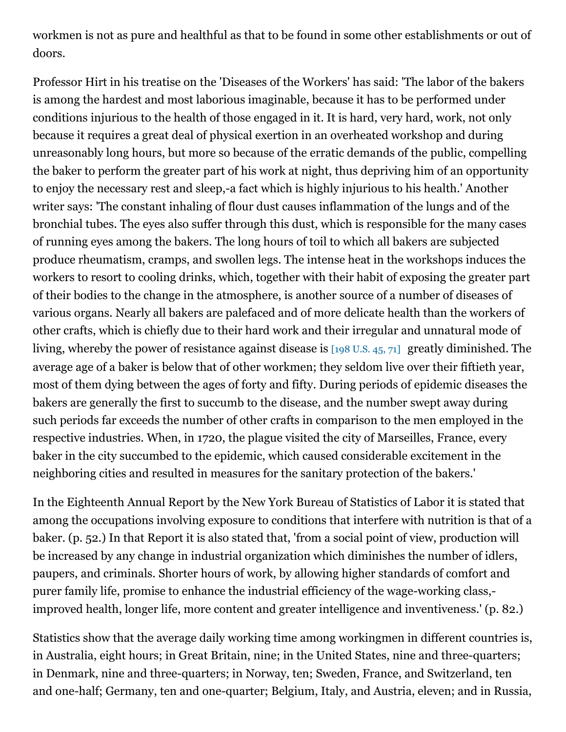workmen is not as pure and healthful as that to be found in some other establishments or out of doors.

Professor Hirt in his treatise on the 'Diseases of the Workers' has said: 'The labor of the bakers is among the hardest and most laborious imaginable, because it has to be performed under conditions injurious to the health of those engaged in it. It is hard, very hard, work, not only because it requires a great deal of physical exertion in an overheated workshop and during unreasonably long hours, but more so because of the erratic demands of the public, compelling the baker to perform the greater part of his work at night, thus depriving him of an opportunity to enjoy the necessary rest and sleep,-a fact which is highly injurious to his health.' Another writer says: 'The constant inhaling of flour dust causes inflammation of the lungs and of the bronchial tubes. The eyes also suffer through this dust, which is responsible for the many cases of running eyes among the bakers. The long hours of toil to which all bakers are subjected produce rheumatism, cramps, and swollen legs. The intense heat in the workshops induces the workers to resort to cooling drinks, which, together with their habit of exposing the greater part of their bodies to the change in the atmosphere, is another source of a number of diseases of various organs. Nearly all bakers are palefaced and of more delicate health than the workers of other crafts, which is chiefly due to their hard work and their irregular and unnatural mode of living, whereby the power of resistance against disease is [198 U.S. 45, 71] greatly diminished. The average age of a baker is below that of other workmen; they seldom live over their fiftieth year, most of them dying between the ages of forty and fifty. During periods of epidemic diseases the bakers are generally the first to succumb to the disease, and the number swept away during such periods far exceeds the number of other crafts in comparison to the men employed in the respective industries. When, in 1720, the plague visited the city of Marseilles, France, every baker in the city succumbed to the epidemic, which caused considerable excitement in the neighboring cities and resulted in measures for the sanitary protection of the bakers.'

In the Eighteenth Annual Report by the New York Bureau of Statistics of Labor it is stated that among the occupations involving exposure to conditions that interfere with nutrition is that of a baker. (p. 52.) In that Report it is also stated that, 'from a social point of view, production will be increased by any change in industrial organization which diminishes the number of idlers, paupers, and criminals. Shorter hours of work, by allowing higher standards of comfort and purer family life, promise to enhance the industrial efficiency of the wage-working class, improved health, longer life, more content and greater intelligence and inventiveness.' (p. 82.)

Statistics show that the average daily working time among workingmen in different countries is, in Australia, eight hours; in Great Britain, nine; in the United States, nine and three-quarters; in Denmark, nine and three-quarters; in Norway, ten; Sweden, France, and Switzerland, ten and one-half; Germany, ten and one-quarter; Belgium, Italy, and Austria, eleven; and in Russia,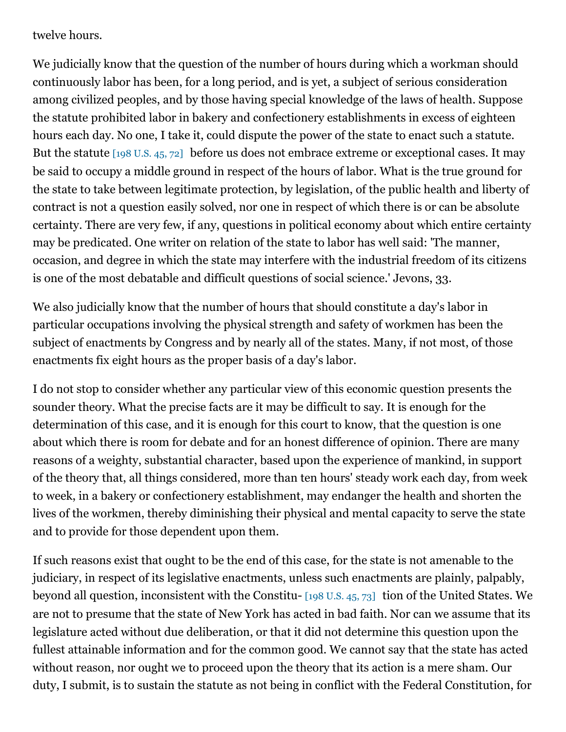twelve hours.

We judicially know that the question of the number of hours during which a workman should continuously labor has been, for a long period, and is yet, a subject of serious consideration among civilized peoples, and by those having special knowledge of the laws of health. Suppose the statute prohibited labor in bakery and confectionery establishments in excess of eighteen hours each day. No one, I take it, could dispute the power of the state to enact such a statute. But the statute [198 U.S. 45, 72] before us does not embrace extreme or exceptional cases. It may be said to occupy a middle ground in respect of the hours of labor. What is the true ground for the state to take between legitimate protection, by legislation, of the public health and liberty of contract is not a question easily solved, nor one in respect of which there is or can be absolute certainty. There are very few, if any, questions in political economy about which entire certainty may be predicated. One writer on relation of the state to labor has well said: 'The manner, occasion, and degree in which the state may interfere with the industrial freedom of its citizens is one of the most debatable and difficult questions of social science.' Jevons, 33.

We also judicially know that the number of hours that should constitute a day's labor in particular occupations involving the physical strength and safety of workmen has been the subject of enactments by Congress and by nearly all of the states. Many, if not most, of those enactments fix eight hours as the proper basis of a day's labor.

I do not stop to consider whether any particular view of this economic question presents the sounder theory. What the precise facts are it may be difficult to say. It is enough for the determination of this case, and it is enough for this court to know, that the question is one about which there is room for debate and for an honest difference of opinion. There are many reasons of a weighty, substantial character, based upon the experience of mankind, in support of the theory that, all things considered, more than ten hours' steady work each day, from week to week, in a bakery or confectionery establishment, may endanger the health and shorten the lives of the workmen, thereby diminishing their physical and mental capacity to serve the state and to provide for those dependent upon them.

If such reasons exist that ought to be the end of this case, for the state is not amenable to the judiciary, in respect of its legislative enactments, unless such enactments are plainly, palpably, beyond all question, inconsistent with the Constitu- [198 U.S. 45, 73] tion of the United States. We are not to presume that the state of New York has acted in bad faith. Nor can we assume that its legislature acted without due deliberation, or that it did not determine this question upon the fullest attainable information and for the common good. We cannot say that the state has acted without reason, nor ought we to proceed upon the theory that its action is a mere sham. Our duty, I submit, is to sustain the statute as not being in conflict with the Federal Constitution, for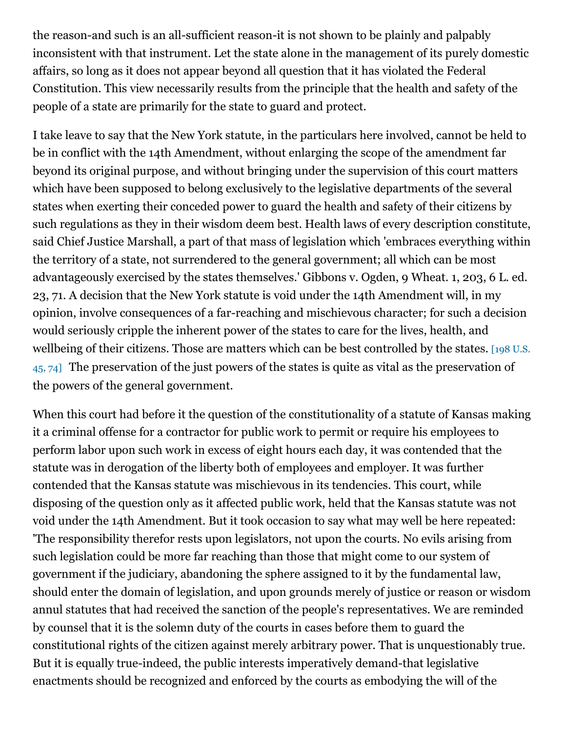the reason-and such is an all-sufficient reason-it is not shown to be plainly and palpably inconsistent with that instrument. Let the state alone in the management of its purely domestic affairs, so long as it does not appear beyond all question that it has violated the Federal Constitution. This view necessarily results from the principle that the health and safety of the people of a state are primarily for the state to guard and protect.

I take leave to say that the New York statute, in the particulars here involved, cannot be held to be in conflict with the 14th Amendment, without enlarging the scope of the amendment far beyond its original purpose, and without bringing under the supervision of this court matters which have been supposed to belong exclusively to the legislative departments of the several states when exerting their conceded power to guard the health and safety of their citizens by such regulations as they in their wisdom deem best. Health laws of every description constitute, said Chief Justice Marshall, a part of that mass of legislation which 'embraces everything within the territory of a state, not surrendered to the general government; all which can be most advantageously exercised by the states themselves.' Gibbons v. Ogden, 9 Wheat. 1, 203, 6 L. ed. 23, 71. A decision that the New York statute is void under the 14th Amendment will, in my opinion, involve consequences of a far-reaching and mischievous character; for such a decision would seriously cripple the inherent power of the states to care for the lives, health, and wellbeing of their citizens. Those are matters which can be best controlled by the states. [198 U.S.] 45, 74] The preservation of the just powers of the states is quite as vital as the preservation of the powers of the general government.

When this court had before it the question of the constitutionality of a statute of Kansas making it a criminal offense for a contractor for public work to permit or require his employees to perform labor upon such work in excess of eight hours each day, it was contended that the statute was in derogation of the liberty both of employees and employer. It was further contended that the Kansas statute was mischievous in its tendencies. This court, while disposing of the question only as it affected public work, held that the Kansas statute was not void under the 14th Amendment. But it took occasion to say what may well be here repeated: 'The responsibility therefor rests upon legislators, not upon the courts. No evils arising from such legislation could be more far reaching than those that might come to our system of government if the judiciary, abandoning the sphere assigned to it by the fundamental law, should enter the domain of legislation, and upon grounds merely of justice or reason or wisdom annul statutes that had received the sanction of the people's representatives. We are reminded by counsel that it is the solemn duty of the courts in cases before them to guard the constitutional rights of the citizen against merely arbitrary power. That is unquestionably true. But it is equally true-indeed, the public interests imperatively demand-that legislative enactments should be recognized and enforced by the courts as embodying the will of the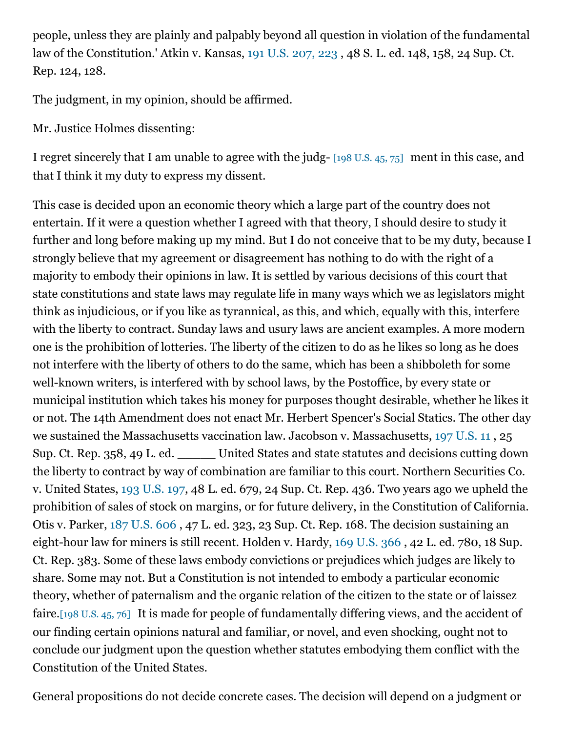people, unless they are plainly and palpably beyond all question in violation of the fundamental law of the Constitution.' Atkin v. Kansas, 191 U.S. 207, 223 , 48 S. L. ed. 148, 158, 24 Sup. Ct. Rep. 124, 128.

The judgment, in my opinion, should be affirmed.

Mr. Justice Holmes dissenting:

I regret sincerely that I am unable to agree with the judg- [198 U.S. 45, 75] ment in this case, and that I think it my duty to express my dissent.

This case is decided upon an economic theory which a large part of the country does not entertain. If it were a question whether I agreed with that theory, I should desire to study it further and long before making up my mind. But I do not conceive that to be my duty, because I strongly believe that my agreement or disagreement has nothing to do with the right of a majority to embody their opinions in law. It is settled by various decisions of this court that state constitutions and state laws may regulate life in many ways which we as legislators might think as injudicious, or if you like as tyrannical, as this, and which, equally with this, interfere with the liberty to contract. Sunday laws and usury laws are ancient examples. A more modern one is the prohibition of lotteries. The liberty of the citizen to do as he likes so long as he does not interfere with the liberty of others to do the same, which has been a shibboleth for some well-known writers, is interfered with by school laws, by the Postoffice, by every state or municipal institution which takes his money for purposes thought desirable, whether he likes it or not. The 14th Amendment does not enact Mr. Herbert Spencer's Social Statics. The other day we sustained the Massachusetts vaccination law. Jacobson v. Massachusetts, 197 U.S. 11 , 25 Sup. Ct. Rep. 358, 49 L. ed. \_\_\_\_\_ United States and state statutes and decisions cutting down the liberty to contract by way of combination are familiar to this court. Northern Securities Co. v. United States, 193 U.S. 197, 48 L. ed. 679, 24 Sup. Ct. Rep. 436. Two years ago we upheld the prohibition of sales of stock on margins, or for future delivery, in the Constitution of California. Otis v. Parker, 187 U.S. 606 , 47 L. ed. 323, 23 Sup. Ct. Rep. 168. The decision sustaining an eight-hour law for miners is still recent. Holden v. Hardy, 169 U.S. 366 , 42 L. ed. 780, 18 Sup. Ct. Rep. 383. Some of these laws embody convictions or prejudices which judges are likely to share. Some may not. But a Constitution is not intended to embody a particular economic theory, whether of paternalism and the organic relation of the citizen to the state or of laissez faire.[198 U.S. 45, 76] It is made for people of fundamentally differing views, and the accident of our finding certain opinions natural and familiar, or novel, and even shocking, ought not to conclude our judgment upon the question whether statutes embodying them conflict with the Constitution of the United States.

General propositions do not decide concrete cases. The decision will depend on a judgment or